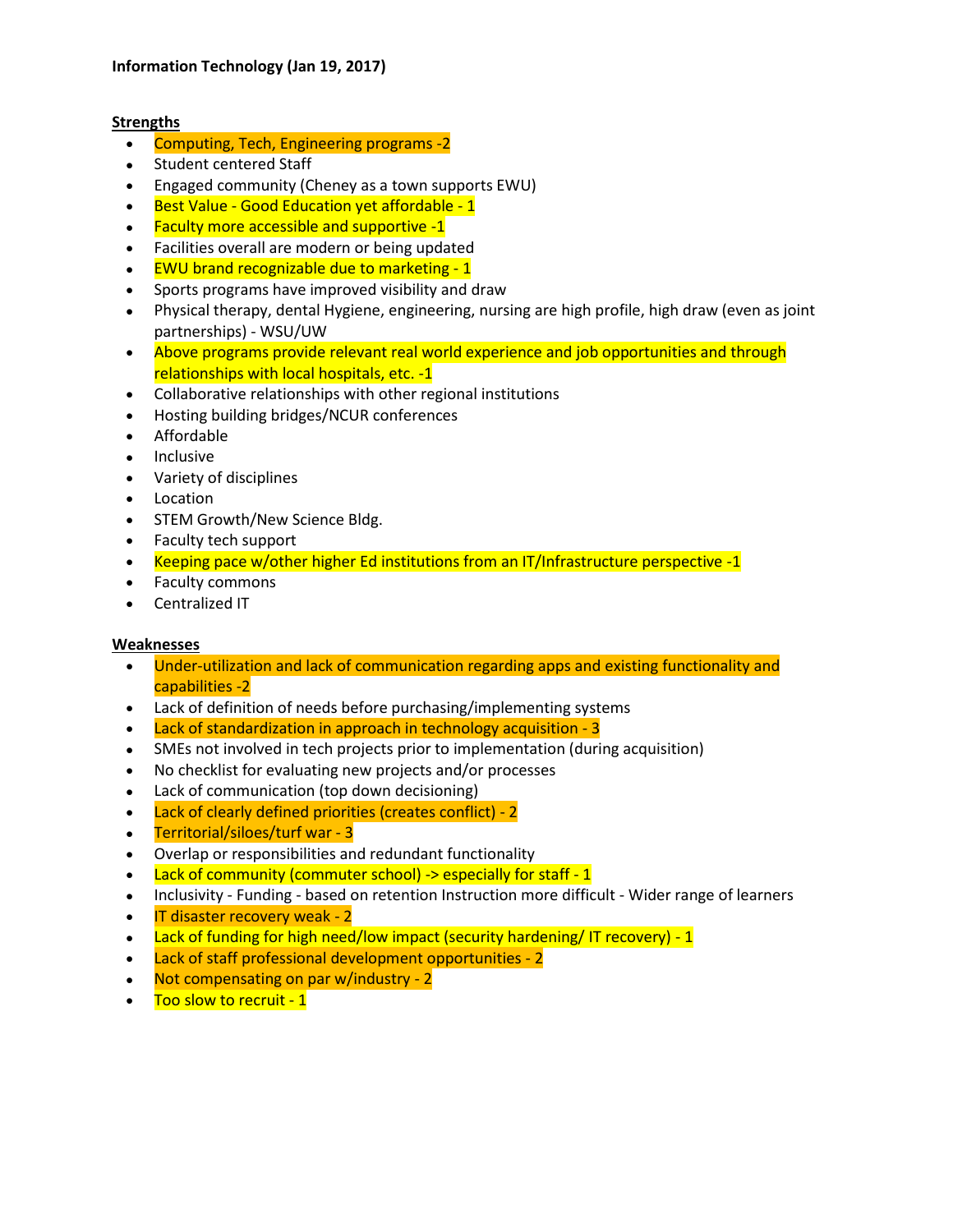## **Strengths**

- Computing, Tech, Engineering programs -2
- Student centered Staff
- Engaged community (Cheney as a town supports EWU)
- Best Value Good Education yet affordable 1
- Faculty more accessible and supportive -1
- Facilities overall are modern or being updated
- EWU brand recognizable due to marketing 1
- Sports programs have improved visibility and draw
- Physical therapy, dental Hygiene, engineering, nursing are high profile, high draw (even as joint partnerships) - WSU/UW
- Above programs provide relevant real world experience and job opportunities and through relationships with local hospitals, etc. -1
- Collaborative relationships with other regional institutions
- Hosting building bridges/NCUR conferences
- Affordable
- Inclusive
- Variety of disciplines
- Location
- STEM Growth/New Science Bldg.
- Faculty tech support
- Keeping pace w/other higher Ed institutions from an IT/Infrastructure perspective -1
- Faculty commons
- Centralized IT

## **Weaknesses**

- Under-utilization and lack of communication regarding apps and existing functionality and capabilities -2
- Lack of definition of needs before purchasing/implementing systems
- Lack of standardization in approach in technology acquisition 3
- SMEs not involved in tech projects prior to implementation (during acquisition)
- No checklist for evaluating new projects and/or processes
- Lack of communication (top down decisioning)
- Lack of clearly defined priorities (creates conflict) 2
- Territorial/siloes/turf war 3
- Overlap or responsibilities and redundant functionality
- Lack of community (commuter school) -> especially for staff 1
- Inclusivity Funding based on retention Instruction more difficult Wider range of learners
- $\bullet$  IT disaster recovery weak 2
- Lack of funding for high need/low impact (security hardening/ IT recovery) 1
- Lack of staff professional development opportunities 2
- Not compensating on par w/industry 2
- Too slow to recruit 1